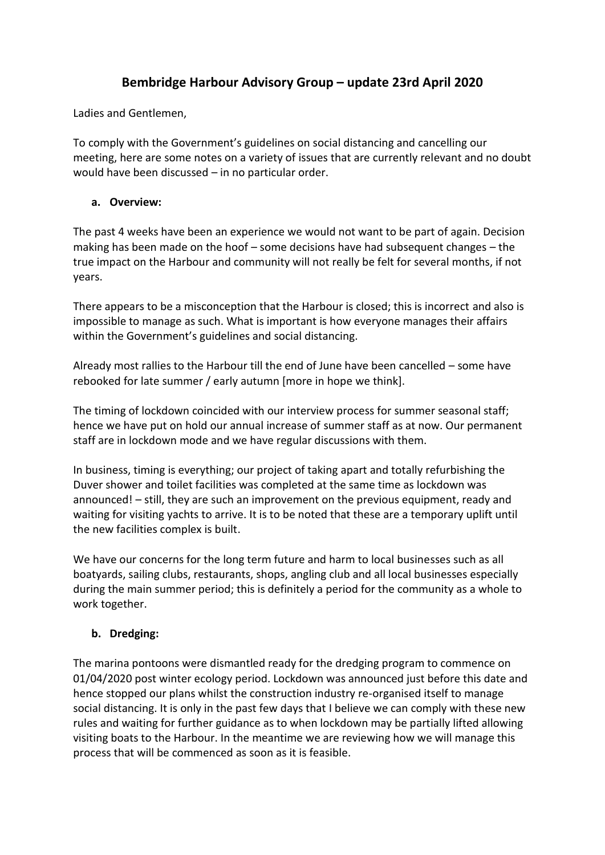# **Bembridge Harbour Advisory Group – update 23rd April 2020**

Ladies and Gentlemen,

To comply with the Government's guidelines on social distancing and cancelling our meeting, here are some notes on a variety of issues that are currently relevant and no doubt would have been discussed – in no particular order.

### **a. Overview:**

The past 4 weeks have been an experience we would not want to be part of again. Decision making has been made on the hoof – some decisions have had subsequent changes – the true impact on the Harbour and community will not really be felt for several months, if not years.

There appears to be a misconception that the Harbour is closed; this is incorrect and also is impossible to manage as such. What is important is how everyone manages their affairs within the Government's guidelines and social distancing.

Already most rallies to the Harbour till the end of June have been cancelled – some have rebooked for late summer / early autumn [more in hope we think].

The timing of lockdown coincided with our interview process for summer seasonal staff; hence we have put on hold our annual increase of summer staff as at now. Our permanent staff are in lockdown mode and we have regular discussions with them.

In business, timing is everything; our project of taking apart and totally refurbishing the Duver shower and toilet facilities was completed at the same time as lockdown was announced! – still, they are such an improvement on the previous equipment, ready and waiting for visiting yachts to arrive. It is to be noted that these are a temporary uplift until the new facilities complex is built.

We have our concerns for the long term future and harm to local businesses such as all boatyards, sailing clubs, restaurants, shops, angling club and all local businesses especially during the main summer period; this is definitely a period for the community as a whole to work together.

## **b. Dredging:**

The marina pontoons were dismantled ready for the dredging program to commence on 01/04/2020 post winter ecology period. Lockdown was announced just before this date and hence stopped our plans whilst the construction industry re-organised itself to manage social distancing. It is only in the past few days that I believe we can comply with these new rules and waiting for further guidance as to when lockdown may be partially lifted allowing visiting boats to the Harbour. In the meantime we are reviewing how we will manage this process that will be commenced as soon as it is feasible.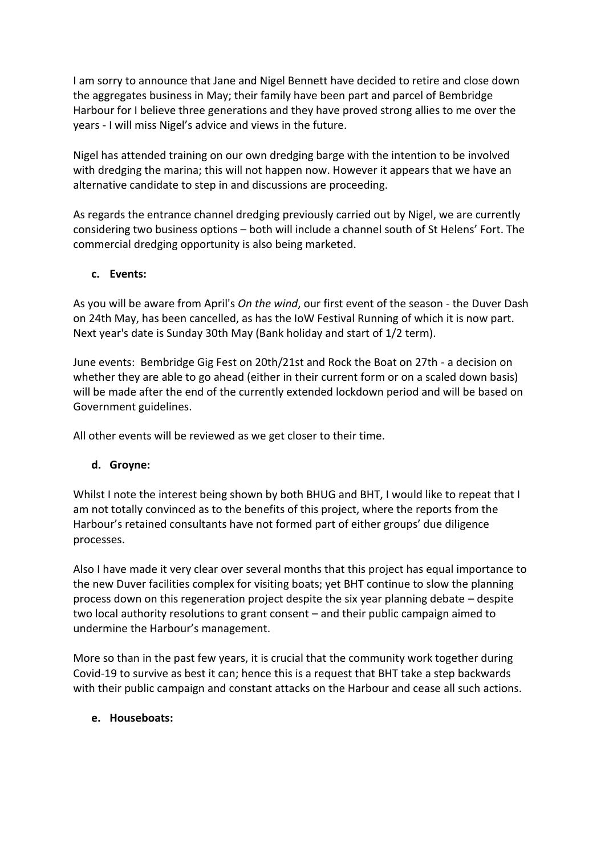I am sorry to announce that Jane and Nigel Bennett have decided to retire and close down the aggregates business in May; their family have been part and parcel of Bembridge Harbour for I believe three generations and they have proved strong allies to me over the years - I will miss Nigel's advice and views in the future.

Nigel has attended training on our own dredging barge with the intention to be involved with dredging the marina; this will not happen now. However it appears that we have an alternative candidate to step in and discussions are proceeding.

As regards the entrance channel dredging previously carried out by Nigel, we are currently considering two business options – both will include a channel south of St Helens' Fort. The commercial dredging opportunity is also being marketed.

## **c. Events:**

As you will be aware from April's *On the wind*, our first event of the season - the Duver Dash on 24th May, has been cancelled, as has the IoW Festival Running of which it is now part. Next year's date is Sunday 30th May (Bank holiday and start of 1/2 term).

June events: Bembridge Gig Fest on 20th/21st and Rock the Boat on 27th - a decision on whether they are able to go ahead (either in their current form or on a scaled down basis) will be made after the end of the currently extended lockdown period and will be based on Government guidelines.

All other events will be reviewed as we get closer to their time.

## **d. Groyne:**

Whilst I note the interest being shown by both BHUG and BHT, I would like to repeat that I am not totally convinced as to the benefits of this project, where the reports from the Harbour's retained consultants have not formed part of either groups' due diligence processes.

Also I have made it very clear over several months that this project has equal importance to the new Duver facilities complex for visiting boats; yet BHT continue to slow the planning process down on this regeneration project despite the six year planning debate – despite two local authority resolutions to grant consent – and their public campaign aimed to undermine the Harbour's management.

More so than in the past few years, it is crucial that the community work together during Covid-19 to survive as best it can; hence this is a request that BHT take a step backwards with their public campaign and constant attacks on the Harbour and cease all such actions.

## **e. Houseboats:**